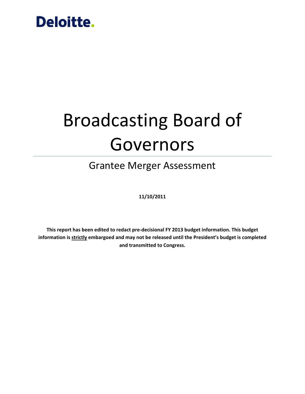# Broadcasting Board of Governors

# Grantee Merger Assessment

**11/10/2011**

**This report has been edited to redact pre‐decisional FY 2013 budget information. This budget information is strictly embargoed and may not be released until the President's budget is completed and transmitted to Congress.**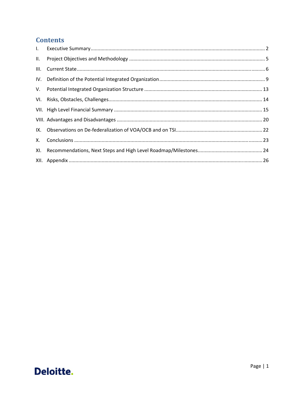## **Contents**

| II.  |  |
|------|--|
| III. |  |
|      |  |
|      |  |
|      |  |
|      |  |
|      |  |
|      |  |
| X.   |  |
|      |  |
|      |  |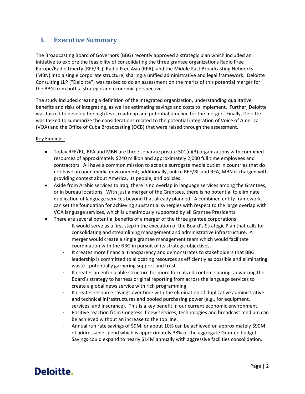## **I. Executive Summary**

The Broadcasting Board of Governors (BBG) recently approved a strategic plan which included an initiative to explore the feasibility of consolidating the three grantee organizations Radio Free Europe/Radio Liberty (RFE/RL), Radio Free Asia (RFA), and the Middle East Broadcasting Networks (MBN) into a single corporate structure, sharing a unified administrative and legal framework. Deloitte Consulting LLP ("Deloitte") was tasked to do an assessment on the merits of this potential merger for the BBG from both a strategic and economic perspective.

The study included creating a definition of the integrated organization, understanding qualitative benefits and risks of integrating, as well as estimating savings and costs to implement. Further, Deloitte was tasked to develop the high level roadmap and potential timeline for the merger. Finally, Deloitte was tasked to summarize the considerations related to the potential integration of Voice of America (VOA) and the Office of Cuba Broadcasting (OCB) that were raised through the assessment.

### Key Findings:

- Today RFE/RL, RFA and MBN are three separate private 501(c)(3) organizations with combined resources of approximately \$240 million and approximately 2,000 full time employees and contractors. All have a common mission to act as a surrogate media outlet in countries that do not have an open media environment; additionally, unlike RFE/RL and RFA, MBN is charged with providing context about America, its people, and policies.
- Aside from Arabic services to Iraq, there is no overlap in language services among the Grantees, or in bureau locations. With just a merger of the Grantees, there is no potential to eliminate duplication of language services beyond that already planned. A combined entity framework can set the foundation for achieving substantial synergies with respect to the large overlap with VOA language services, which is unanimously supported by all Grantee Presidents.
- There are several potential benefits of a merger of the three grantee corporations:
	- It would serve as a first step in the execution of the Board's Strategic Plan that calls for consolidating and streamlining management and administrative infrastructure. A merger would create a single grantee management team which would facilitate coordination with the BBG in pursuit of its strategic objectives.
	- It creates more financial transparency and demonstrates to stakeholders that BBG leadership is committed to allocating resources as efficiently as possible and eliminating waste - potentially garnering support and trust.
	- It creates an enforceable structure for more formalized content sharing, advancing the Board's strategy to harness original reporting from across the language services to create a global news service with rich programming.
	- It creates resource savings over time with the elimination of duplicative administrative and technical infrastructures and pooled purchasing power (e.g., for equipment, services, and insurance). This is a key benefit in our current economic environment.
	- Positive reaction from Congress if new services, technologies and broadcast medium can be achieved without an increase to the top line.
	- Annual run rate savings of \$9M, or about 10% can be achieved on approximately \$90M of addressable spend which is approximately 38% of the aggregate Grantee budget. Savings could expand to nearly \$14M annually with aggressive facilities consolidation.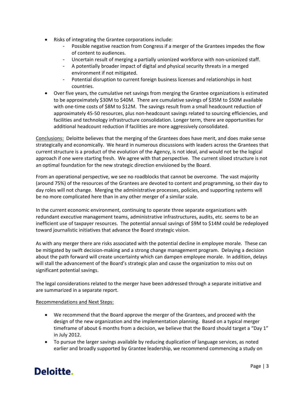- Risks of integrating the Grantee corporations include:
	- Possible negative reaction from Congress if a merger of the Grantees impedes the flow of content to audiences.
	- Uncertain result of merging a partially unionized workforce with non-unionized staff.
	- A potentially broader impact of digital and physical security threats in a merged environment if not mitigated.
	- Potential disruption to current foreign business licenses and relationships in host countries.
- Over five years, the cumulative net savings from merging the Grantee organizations is estimated to be approximately \$30M to \$40M. There are cumulative savings of \$35M to \$50M available with one-time costs of \$8M to \$12M. The savings result from a small headcount reduction of approximately 45‐50 resources, plus non‐headcount savings related to sourcing efficiencies, and facilities and technology infrastructure consolidation. Longer term, there are opportunities for additional headcount reduction if facilities are more aggressively consolidated.

Conclusions: Deloitte believes that the merging of the Grantees does have merit, and does make sense strategically and economically. We heard in numerous discussions with leaders across the Grantees that current structure is a product of the evolution of the Agency, is not ideal, and would not be the logical approach if one were starting fresh. We agree with that perspective. The current siloed structure is not an optimal foundation for the new strategic direction envisioned by the Board.

From an operational perspective, we see no roadblocks that cannot be overcome. The vast majority (around 75%) of the resources of the Grantees are devoted to content and programming, so their day to day roles will not change. Merging the administrative processes, policies, and supporting systems will be no more complicated here than in any other merger of a similar scale.

In the current economic environment, continuing to operate three separate organizations with redundant executive management teams, administrative infrastructures, audits, etc. seems to be an inefficient use of taxpayer resources. The potential annual savings of \$9M to \$14M could be redeployed toward journalistic initiatives that advance the Board strategic vision.

As with any merger there are risks associated with the potential decline in employee morale. These can be mitigated by swift decision-making and a strong change management program. Delaying a decision about the path forward will create uncertainty which can dampen employee morale. In addition, delays will stall the advancement of the Board's strategic plan and cause the organization to miss out on significant potential savings.

The legal considerations related to the merger have been addressed through a separate initiative and are summarized in a separate report.

#### Recommendations and Next Steps:

- We recommend that the Board approve the merger of the Grantees, and proceed with the design of the new organization and the implementation planning. Based on a typical merger timeframe of about 6 months from a decision, we believe that the Board should target a "Day 1" in July 2012.
- To pursue the larger savings available by reducing duplication of language services, as noted earlier and broadly supported by Grantee leadership, we recommend commencing a study on

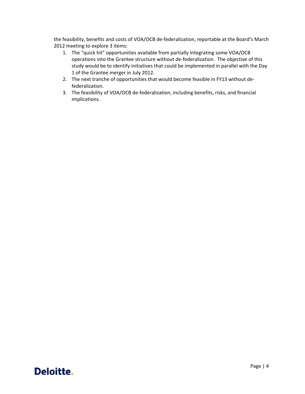the feasibility, benefits and costs of VOA/OCB de‐federalization, reportable at the Board's March 2012 meeting to explore 3 items:

- 1. The "quick hit" opportunities available from partially integrating some VOA/OCB operations into the Grantee structure without de‐federalization. The objective of this study would be to identify initiatives that could be implemented in parallel with the Day 1 of the Grantee merger in July 2012.
- 2. The next tranche of opportunities that would become feasible in FY13 without de‐ federalization.
- 3. The feasibility of VOA/OCB de‐federalization, including benefits, risks, and financial implications.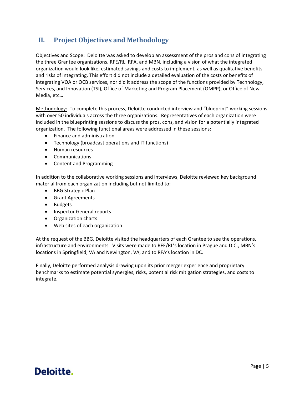## **II. Project Objectives and Methodology**

Objectives and Scope: Deloitte was asked to develop an assessment of the pros and cons of integrating the three Grantee organizations, RFE/RL, RFA, and MBN, including a vision of what the integrated organization would look like, estimated savings and costs to implement, as well as qualitative benefits and risks of integrating. This effort did not include a detailed evaluation of the costs or benefits of integrating VOA or OCB services, nor did it address the scope of the functions provided by Technology, Services, and Innovation (TSI), Office of Marketing and Program Placement (OMPP), or Office of New Media, etc…

Methodology: To complete this process, Deloitte conducted interview and "blueprint" working sessions with over 50 individuals across the three organizations. Representatives of each organization were included in the blueprinting sessions to discuss the pros, cons, and vision for a potentially integrated organization. The following functional areas were addressed in these sessions:

- Finance and administration
- Technology (broadcast operations and IT functions)
- Human resources
- Communications
- Content and Programming

In addition to the collaborative working sessions and interviews, Deloitte reviewed key background material from each organization including but not limited to:

- BBG Strategic Plan
- Grant Agreements
- Budgets
- Inspector General reports
- Organization charts
- Web sites of each organization

At the request of the BBG, Deloitte visited the headquarters of each Grantee to see the operations, infrastructure and environments. Visits were made to RFE/RL's location in Prague and D.C., MBN's locations in Springfield, VA and Newington, VA, and to RFA's location in DC.

Finally, Deloitte performed analysis drawing upon its prior merger experience and proprietary benchmarks to estimate potential synergies, risks, potential risk mitigation strategies, and costs to integrate.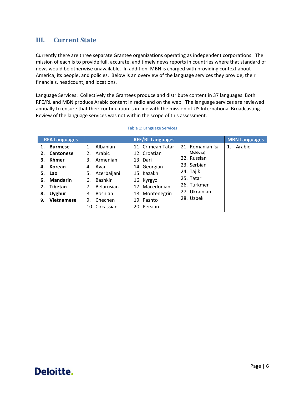## **III. Current State**

Currently there are three separate Grantee organizations operating as independent corporations. The mission of each is to provide full, accurate, and timely news reports in countries where that standard of news would be otherwise unavailable. In addition, MBN is charged with providing context about America, its people, and policies. Below is an overview of the language services they provide, their financials, headcount, and locations.

Language Services: Collectively the Grantees produce and distribute content in 37 languages. Both RFE/RL and MBN produce Arabic content in radio and on the web. The language services are reviewed annually to ensure that their continuation is in line with the mission of US International Broadcasting. Review of the language services was not within the scope of this assessment.

|    | <b>RFA Languages</b> |                      | <b>RFE/RL Languages</b> |                  | <b>MBN Languages</b> |
|----|----------------------|----------------------|-------------------------|------------------|----------------------|
| 1. | <b>Burmese</b>       | Albanian<br>$1_{-}$  | 11. Crimean Tatar       | 21. Romanian (to | Arabic<br>1.         |
| 2. | Cantonese            | Arabic<br>2.         | 12. Croatian            | Moldova)         |                      |
| З. | Khmer                | Armenian<br>3.       | 13. Dari                | 22. Russian      |                      |
| 4. | Korean               | Avar<br>4.           | 14. Georgian            | 23. Serbian      |                      |
| 5. | Lao                  | Azerbaijani<br>5.    | 15. Kazakh              | 24. Tajik        |                      |
| 6. | <b>Mandarin</b>      | <b>Bashkir</b><br>6. | 16. Kyrgyz              | 25. Tatar        |                      |
| 7. | Tibetan              | Belarusian<br>7.     | 17. Macedonian          | 26. Turkmen      |                      |
| 8. | <b>Uyghur</b>        | <b>Bosnian</b><br>8. | 18. Montenegrin         | 27. Ukrainian    |                      |
| 9. | Vietnamese           | Chechen<br>9.        | 19. Pashto              | 28. Uzbek        |                      |
|    |                      | 10. Circassian       | 20. Persian             |                  |                      |

#### **Table 1: Language Services**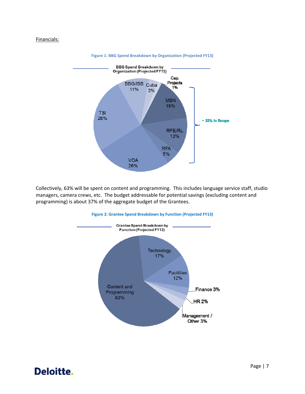#### Financials:



**Figure 1: BBG Spend Breakdown by Organization (Projected FY13)**

Collectively, 63% will be spent on content and programming. This includes language service staff, studio managers, camera crews, etc. The budget addressable for potential savings (excluding content and programming) is about 37% of the aggregate budget of the Grantees.

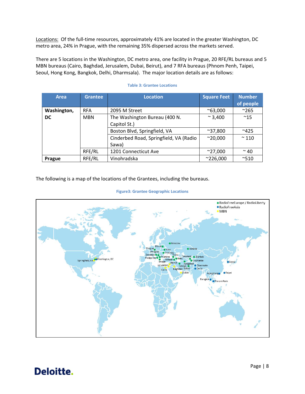Locations: Of the full-time resources, approximately 41% are located in the greater Washington, DC metro area, 24% in Prague, with the remaining 35% dispersed across the markets served.

There are 5 locations in the Washington, DC metro area, one facility in Prague, 20 RFE/RL bureaus and 5 MBN bureaus (Cairo, Baghdad, Jerusalem, Dubai, Beirut), and 7 RFA bureaus (Phnom Penh, Taipei, Seoul, Hong Kong, Bangkok, Delhi, Dharmsala). The major location details are as follows:

| <b>Area</b>                                | <b>Grantee</b>               | <b>Location</b>                        | <b>Square Feet</b> | <b>Number</b><br>of people |
|--------------------------------------------|------------------------------|----------------------------------------|--------------------|----------------------------|
| Washington,<br><b>RFA</b><br>2095 M Street |                              |                                        | $^{\sim}63,000$    | $^{\sim}265$               |
| <b>DC</b>                                  | <b>MBN</b>                   | The Washington Bureau (400 N.          | $~^{\circ}$ 3,400  | $~^{\sim}15$               |
|                                            |                              | Capitol St.)                           |                    |                            |
|                                            | Boston Blvd, Springfield, VA |                                        | $^{\sim}$ 37,800   | $^{\sim}425$               |
|                                            |                              | Cinderbed Road, Springfield, VA (Radio | $^{\sim}20,000$    | $~^{\sim}$ 110             |
|                                            | Sawa)                        |                                        |                    |                            |
|                                            | RFE/RL                       | 1201 Connecticut Ave                   | $^{\sim}$ 27,000   | $~\sim$ 40                 |
| <b>Prague</b>                              | RFE/RL                       | Vinohradska                            | $^{\sim}$ 226,000  | $^{\sim}510$               |

#### **Table 3: Grantee Locations**

The following is a map of the locations of the Grantees, including the bureaus.



#### **Figure3: Grantee Geographic Locations**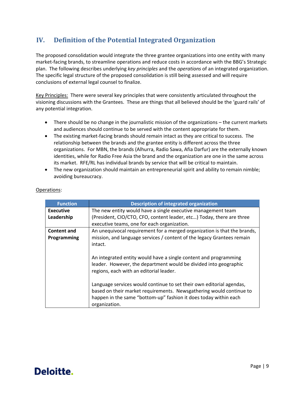## **IV. Definition of the Potential Integrated Organization**

The proposed consolidation would integrate the three grantee organizations into one entity with many market-facing brands, to streamline operations and reduce costs in accordance with the BBG's Strategic plan. The following describes underlying *key principles* and the *operations* of an integrated organization. The specific legal structure of the proposed consolidation is still being assessed and will require conclusions of external legal counsel to finalize.

Key Principles: There were several key principles that were consistently articulated throughout the visioning discussions with the Grantees. These are things that all believed should be the 'guard rails' of any potential integration.

- There should be no change in the journalistic mission of the organizations the current markets and audiences should continue to be served with the content appropriate for them.
- The existing market-facing brands should remain intact as they are critical to success. The relationship between the brands and the grantee entity is different across the three organizations. For MBN, the brands (Alhurra, Radio Sawa, Afia Darfur) are the externally known identities, while for Radio Free Asia the brand and the organization are one in the same across its market. RFE/RL has individual brands by service that will be critical to maintain.
- The new organization should maintain an entrepreneurial spirit and ability to remain nimble; avoiding bureaucracy.

| <b>Function</b>                   | <b>Description of integrated organization</b>                                                                                                                                                                                    |
|-----------------------------------|----------------------------------------------------------------------------------------------------------------------------------------------------------------------------------------------------------------------------------|
| <b>Executive</b><br>Leadership    | The new entity would have a single executive management team<br>(President, CIO/CTO, CFO, content leader, etc) Today, there are three<br>executive teams, one for each organization.                                             |
| <b>Content and</b><br>Programming | An unequivocal requirement for a merged organization is that the brands,<br>mission, and language services / content of the legacy Grantees remain<br>intact.                                                                    |
|                                   | An integrated entity would have a single content and programming<br>leader. However, the department would be divided into geographic<br>regions, each with an editorial leader.                                                  |
|                                   | Language services would continue to set their own editorial agendas,<br>based on their market requirements. Newsgathering would continue to<br>happen in the same "bottom-up" fashion it does today within each<br>organization. |

#### Operations: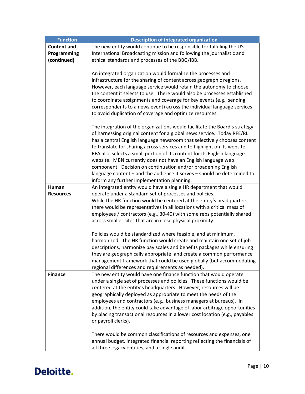| <b>Function</b>    | <b>Description of integrated organization</b>                               |
|--------------------|-----------------------------------------------------------------------------|
| <b>Content and</b> | The new entity would continue to be responsible for fulfilling the US       |
| Programming        | International Broadcasting mission and following the journalistic and       |
| (continued)        | ethical standards and processes of the BBG/IBB.                             |
|                    |                                                                             |
|                    | An integrated organization would formalize the processes and                |
|                    | infrastructure for the sharing of content across geographic regions.        |
|                    | However, each language service would retain the autonomy to choose          |
|                    | the content it selects to use. There would also be processes established    |
|                    | to coordinate assignments and coverage for key events (e.g., sending        |
|                    | correspondents to a news event) across the individual language services     |
|                    | to avoid duplication of coverage and optimize resources.                    |
|                    |                                                                             |
|                    | The integration of the organizations would facilitate the Board's strategy  |
|                    | of harnessing original content for a global news service. Today RFE/RL      |
|                    | has a central English language newsroom that selectively chooses content    |
|                    | to translate for sharing across services and to highlight on its website.   |
|                    | RFA also selects a small portion of its content for its English language    |
|                    | website. MBN currently does not have an English language web                |
|                    | component. Decision on continuation and/or broadening English               |
|                    | language content - and the audience it serves - should be determined to     |
|                    | inform any further implementation planning.                                 |
| Human              | An integrated entity would have a single HR department that would           |
| <b>Resources</b>   | operate under a standard set of processes and policies.                     |
|                    | While the HR function would be centered at the entity's headquarters,       |
|                    | there would be representatives in all locations with a critical mass of     |
|                    | employees / contractors (e.g., 30-40) with some reps potentially shared     |
|                    | across smaller sites that are in close physical proximity.                  |
|                    |                                                                             |
|                    | Policies would be standardized where feasible, and at minimum,              |
|                    | harmonized. The HR function would create and maintain one set of job        |
|                    | descriptions, harmonize pay scales and benefits packages while ensuring     |
|                    | they are geographically appropriate, and create a common performance        |
|                    | management framework that could be used globally (but accommodating         |
|                    | regional differences and requirements as needed).                           |
| <b>Finance</b>     | The new entity would have one finance function that would operate           |
|                    | under a single set of processes and policies. These functions would be      |
|                    | centered at the entity's headquarters. However, resources will be           |
|                    | geographically deployed as appropriate to meet the needs of the             |
|                    | employees and contractors (e.g., business managers at bureaus). In          |
|                    | addition, the entity could take advantage of labor arbitrage opportunities  |
|                    | by placing transactional resources in a lower cost location (e.g., payables |
|                    | or payroll clerks).                                                         |
|                    | There would be common classifications of resources and expenses, one        |
|                    | annual budget, integrated financial reporting reflecting the financials of  |
|                    | all three legacy entities, and a single audit.                              |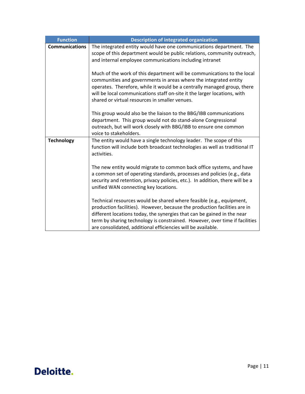| <b>Function</b>       | <b>Description of integrated organization</b>                                                                                                                                                                                                                                                                                                                               |
|-----------------------|-----------------------------------------------------------------------------------------------------------------------------------------------------------------------------------------------------------------------------------------------------------------------------------------------------------------------------------------------------------------------------|
| <b>Communications</b> | The integrated entity would have one communications department. The<br>scope of this department would be public relations, community outreach,<br>and internal employee communications including intranet                                                                                                                                                                   |
|                       | Much of the work of this department will be communications to the local<br>communities and governments in areas where the integrated entity<br>operates. Therefore, while it would be a centrally managed group, there<br>will be local communications staff on-site it the larger locations, with<br>shared or virtual resources in smaller venues.                        |
|                       | This group would also be the liaison to the BBG/IBB communications<br>department. This group would not do stand-alone Congressional<br>outreach, but will work closely with BBG/IBB to ensure one common<br>voice to stakeholders.                                                                                                                                          |
| <b>Technology</b>     | The entity would have a single technology leader. The scope of this<br>function will include both broadcast technologies as well as traditional IT<br>activities.                                                                                                                                                                                                           |
|                       | The new entity would migrate to common back office systems, and have<br>a common set of operating standards, processes and policies (e.g., data<br>security and retention, privacy policies, etc.). In addition, there will be a<br>unified WAN connecting key locations.                                                                                                   |
|                       | Technical resources would be shared where feasible (e.g., equipment,<br>production facilities). However, because the production facilities are in<br>different locations today, the synergies that can be gained in the near<br>term by sharing technology is constrained. However, over time if facilities<br>are consolidated, additional efficiencies will be available. |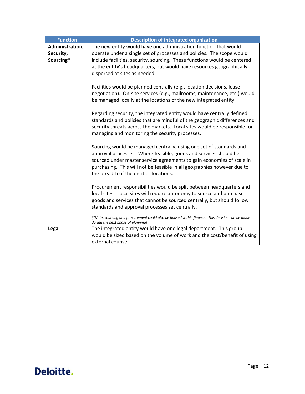| <b>Function</b> | <b>Description of integrated organization</b>                                                   |  |  |  |
|-----------------|-------------------------------------------------------------------------------------------------|--|--|--|
| Administration, | The new entity would have one administration function that would                                |  |  |  |
| Security,       | operate under a single set of processes and policies. The scope would                           |  |  |  |
| Sourcing*       | include facilities, security, sourcing. These functions would be centered                       |  |  |  |
|                 | at the entity's headquarters, but would have resources geographically                           |  |  |  |
|                 | dispersed at sites as needed.                                                                   |  |  |  |
|                 | Facilities would be planned centrally (e.g., location decisions, lease                          |  |  |  |
|                 | negotiation). On-site services (e.g., mailrooms, maintenance, etc.) would                       |  |  |  |
|                 | be managed locally at the locations of the new integrated entity.                               |  |  |  |
|                 | Regarding security, the integrated entity would have centrally defined                          |  |  |  |
|                 | standards and policies that are mindful of the geographic differences and                       |  |  |  |
|                 | security threats across the markets. Local sites would be responsible for                       |  |  |  |
|                 | managing and monitoring the security processes.                                                 |  |  |  |
|                 | Sourcing would be managed centrally, using one set of standards and                             |  |  |  |
|                 | approval processes. Where feasible, goods and services should be                                |  |  |  |
|                 | sourced under master service agreements to gain economies of scale in                           |  |  |  |
|                 | purchasing. This will not be feasible in all geographies however due to                         |  |  |  |
|                 | the breadth of the entities locations.                                                          |  |  |  |
|                 | Procurement responsibilities would be split between headquarters and                            |  |  |  |
|                 | local sites. Local sites will require autonomy to source and purchase                           |  |  |  |
|                 | goods and services that cannot be sourced centrally, but should follow                          |  |  |  |
|                 | standards and approval processes set centrally.                                                 |  |  |  |
|                 | (*Note: sourcing and procurement could also be housed within finance. This decision can be made |  |  |  |
|                 | during the next phase of planning)                                                              |  |  |  |
| Legal           | The integrated entity would have one legal department. This group                               |  |  |  |
|                 | would be sized based on the volume of work and the cost/benefit of using                        |  |  |  |
|                 | external counsel.                                                                               |  |  |  |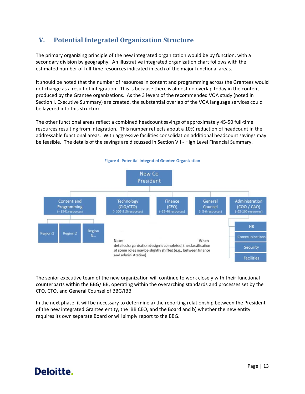## **V.** Potential Integrated Organization Structure

The primary organizing principle of the new integrated organization would be by function, with a secondary division by geography. An illustrative integrated organization chart follows with the estimated number of full-time resources indicated in each of the major functional areas.

It should be noted that the number of resources in content and programming across the Grantees would not change as a result of integration. This is because there is almost no overlap today in the content produced by the Grantee organizations. As the 3 levers of the recommended VOA study (noted in Section I. Executive Summary) are created, the substantial overlap of the VOA language services could be layered into this structure.

The other functional areas reflect a combined headcount savings of approximately 45‐50 full‐time resources resulting from integration. This number reflects about a 10% reduction of headcount in the addressable functional areas. With aggressive facilities consolidation additional headcount savings may be feasible. The details of the savings are discussed in Section VII ‐ High Level Financial Summary.



The senior executive team of the new organization will continue to work closely with their functional counterparts within the BBG/IBB, operating within the overarching standards and processes set by the CFO, CTO, and General Counsel of BBG/IBB.

In the next phase, it will be necessary to determine a) the reporting relationship between the President of the new integrated Grantee entity, the IBB CEO, and the Board and b) whether the new entity requires its own separate Board or will simply report to the BBG.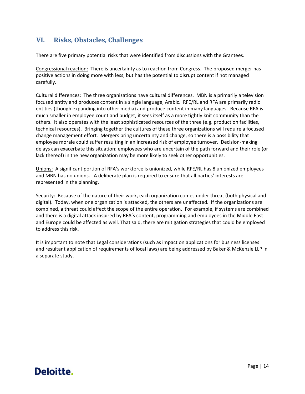## **VI. Risks, Obstacles, Challenges**

There are five primary potential risks that were identified from discussions with the Grantees.

Congressional reaction: There is uncertainty as to reaction from Congress. The proposed merger has positive actions in doing more with less, but has the potential to disrupt content if not managed carefully.

Cultural differences: The three organizations have cultural differences. MBN is a primarily a television focused entity and produces content in a single language, Arabic. RFE/RL and RFA are primarily radio entities (though expanding into other media) and produce content in many languages. Because RFA is much smaller in employee count and budget, it sees itself as a more tightly knit community than the others. It also operates with the least sophisticated resources of the three (e.g. production facilities, technical resources). Bringing together the cultures of these three organizations will require a focused change management effort. Mergers bring uncertainty and change, so there is a possibility that employee morale could suffer resulting in an increased risk of employee turnover. Decision‐making delays can exacerbate this situation; employees who are uncertain of the path forward and their role (or lack thereof) in the new organization may be more likely to seek other opportunities.

Unions: A significant portion of RFA's workforce is unionized, while RFE/RL has 8 unionized employees and MBN has no unions. A deliberate plan is required to ensure that all parties' interests are represented in the planning.

Security: Because of the nature of their work, each organization comes under threat (both physical and digital). Today, when one organization is attacked, the others are unaffected. If the organizations are combined, a threat could affect the scope of the entire operation. For example, if systems are combined and there is a digital attack inspired by RFA's content, programming and employees in the Middle East and Europe could be affected as well. That said, there are mitigation strategies that could be employed to address this risk.

It is important to note that Legal considerations (such as impact on applications for business licenses and resultant application of requirements of local laws) are being addressed by Baker & McKenzie LLP in a separate study.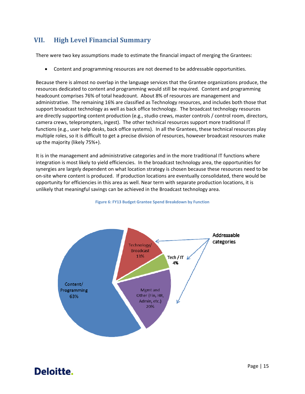## **VII. High Level Financial Summary**

There were two key assumptions made to estimate the financial impact of merging the Grantees:

Content and programming resources are not deemed to be addressable opportunities.

Because there is almost no overlap in the language services that the Grantee organizations produce, the resources dedicated to content and programming would still be required. Content and programming headcount comprises 76% of total headcount. About 8% of resources are management and administrative. The remaining 16% are classified as Technology resources, and includes both those that support broadcast technology as well as back office technology. The broadcast technology resources are directly supporting content production (e.g., studio crews, master controls / control room, directors, camera crews, teleprompters, ingest). The other technical resources support more traditional IT functions (e.g., user help desks, back office systems). In all the Grantees, these technical resources play multiple roles, so it is difficult to get a precise division of resources, however broadcast resources make up the majority (likely 75%+).

It is in the management and administrative categories and in the more traditional IT functions where integration is most likely to yield efficiencies. In the broadcast technology area, the opportunities for synergies are largely dependent on what location strategy is chosen because these resources need to be on‐site where content is produced. If production locations are eventually consolidated, there would be opportunity for efficiencies in this area as well. Near term with separate production locations, it is unlikely that meaningful savings can be achieved in the Broadcast technology area.



#### **Figure 6: FY13 Budget Grantee Spend Breakdown by Function**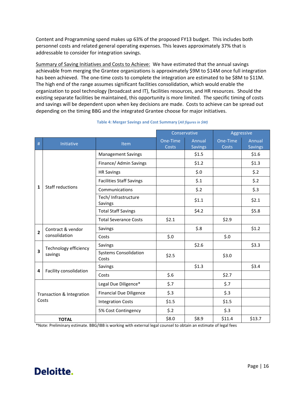Content and Programming spend makes up 63% of the proposed FY13 budget. This includes both personnel costs and related general operating expenses. This leaves approximately 37% that is addressable to consider for integration savings.

Summary of Saving Initiatives and Costs to Achieve: We have estimated that the annual savings achievable from merging the Grantee organizations is approximately \$9M to \$14M once full integration has been achieved. The one-time costs to complete the integration are estimated to be \$8M to \$11M. The high end of the range assumes significant facilities consolidation, which would enable the organization to pool technology (broadcast and IT), facilities resources, and HR resources. Should the existing separate facilities be maintained, this opportunity is more limited. The specific timing of costs and savings will be dependent upon when key decisions are made. Costs to achieve can be spread out depending on the timing BBG and the integrated Grantee choose for major initiatives.

|                |                                    |                                       |                   | Conservative             | Aggressive        |                          |
|----------------|------------------------------------|---------------------------------------|-------------------|--------------------------|-------------------|--------------------------|
| #              | Initiative                         | Item                                  | One-Time<br>Costs | Annual<br><b>Savings</b> | One-Time<br>Costs | Annual<br><b>Savings</b> |
|                |                                    | <b>Management Savings</b>             |                   | \$1.5                    |                   | \$1.6                    |
|                |                                    | Finance/ Admin Savings                |                   | \$1.2                    |                   | \$1.3                    |
|                |                                    | <b>HR Savings</b>                     |                   | \$.0                     |                   | \$.2                     |
|                |                                    | <b>Facilities Staff Savings</b>       |                   | \$.1                     |                   | \$.2                     |
| 1              | Staff reductions                   | Communications                        |                   | \$.2                     |                   | \$.3                     |
|                |                                    | Tech/ Infrastructure<br>Savings       |                   | \$1.1                    |                   | \$2.1                    |
|                |                                    | <b>Total Staff Savings</b>            |                   | \$4.2\$                  |                   | \$5.8                    |
|                |                                    | <b>Total Severance Costs</b>          | \$2.1             |                          | \$2.9             |                          |
| $\overline{2}$ | Contract & vendor<br>consolidation | Savings                               |                   | \$.8                     |                   | \$1.2                    |
|                |                                    | Costs                                 | \$.0              |                          | \$.0              |                          |
|                | Technology efficiency<br>savings   | Savings                               |                   | \$2.6                    |                   | \$3.3                    |
| 3              |                                    | <b>Systems Consolidation</b><br>Costs | \$2.5             |                          | \$3.0             |                          |
| 4              |                                    | Savings                               |                   | \$1.3                    |                   | \$3.4                    |
|                | Facility consolidation             | Costs                                 | \$.6              |                          | \$2.7             |                          |
|                |                                    | Legal Due Diligence*                  | \$.7              |                          | \$.7              |                          |
|                | Transaction & Integration          | <b>Financial Due Diligence</b>        | \$.3              |                          | \$.3              |                          |
|                | Costs                              | <b>Integration Costs</b>              | \$1.5             |                          | \$1.5             |                          |
|                |                                    | 5% Cost Contingency                   | \$.2              |                          | \$.3              |                          |
|                | <b>TOTAL</b>                       |                                       | \$8.0             | \$8.9                    | \$11.4            | \$13.7                   |

**Table 4: Merger Savings and Cost Summary (***All figures in \$M)*

\*Note: Preliminary estimate. BBG/IBB is working with external legal counsel to obtain an estimate of legal fees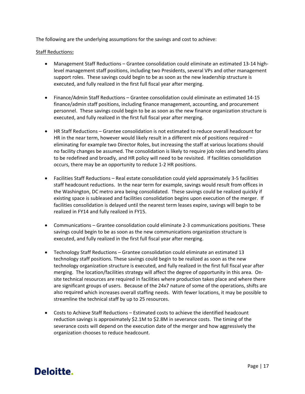The following are the underlying assumptions for the savings and cost to achieve:

#### Staff Reductions**:**

- Management Staff Reductions Grantee consolidation could eliminate an estimated 13-14 highlevel management staff positions, including two Presidents, several VPs and other management support roles. These savings could begin to be as soon as the new leadership structure is executed, and fully realized in the first full fiscal year after merging.
- Finance/Admin Staff Reductions Grantee consolidation could eliminate an estimated 14‐15 finance/admin staff positions, including finance management, accounting, and procurement personnel. These savings could begin to be as soon as the new finance organization structure is executed, and fully realized in the first full fiscal year after merging.
- HR Staff Reductions Grantee consolidation is not estimated to reduce overall headcount for HR in the near term, however would likely result in a different mix of positions required – eliminating for example two Director Roles, but increasing the staff at various locations should no facility changes be assumed. The consolidation is likely to require job roles and benefits plans to be redefined and broadly, and HR policy will need to be revisited. If facilities consolidation occurs, there may be an opportunity to reduce 1‐2 HR positions.
- Facilities Staff Reductions Real estate consolidation could yield approximately 3‐5 facilities staff headcount reductions. In the near term for example, savings would result from offices in the Washington, DC metro area being consolidated. These savings could be realized quickly if existing space is subleased and facilities consolidation begins upon execution of the merger. If facilities consolidation is delayed until the nearest term leases expire, savings will begin to be realized in FY14 and fully realized in FY15.
- Communications Grantee consolidation could eliminate 2-3 communications positions. These savings could begin to be as soon as the new communications organization structure is executed, and fully realized in the first full fiscal year after merging.
- Technology Staff Reductions Grantee consolidation could eliminate an estimated 13 technology staff positions. These savings could begin to be realized as soon as the new technology organization structure is executed, and fully realized in the first full fiscal year after merging. The location/facilities strategy will affect the degree of opportunity in this area. On‐ site technical resources are required in facilities where production takes place and where there are significant groups of users. Because of the 24x7 nature of some of the operations, shifts are also required which increases overall staffing needs. With fewer locations, it may be possible to streamline the technical staff by up to 25 resources.
- Costs to Achieve Staff Reductions Estimated costs to achieve the identified headcount reduction savings is approximately \$2.1M to \$2.8M in severance costs. The timing of the severance costs will depend on the execution date of the merger and how aggressively the organization chooses to reduce headcount.

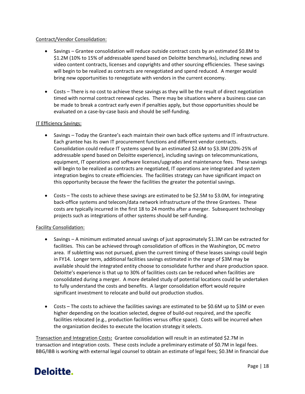#### Contract/Vendor Consolidation:

- Savings Grantee consolidation will reduce outside contract costs by an estimated \$0.8M to \$1.2M (10% to 15% of addressable spend based on Deloitte benchmarks), including news and video content contracts, licenses and copyrights and other sourcing efficiencies. These savings will begin to be realized as contracts are renegotiated and spend reduced. A merger would bring new opportunities to renegotiate with vendors in the current economy.
- Costs There is no cost to achieve these savings as they will be the result of direct negotiation timed with normal contract renewal cycles. There may be situations where a business case can be made to break a contract early even if penalties apply, but those opportunities should be evaluated on a case‐by‐case basis and should be self‐funding.

#### IT Efficiency Savings:

- Savings Today the Grantee's each maintain their own back office systems and IT infrastructure. Each grantee has its own IT procurement functions and different vendor contracts. Consolidation could reduce IT systems spend by an estimated \$2.6M to \$3.3M (20%‐25% of addressable spend based on Deloitte experience), including savings on telecommunications, equipment, IT operations and software licenses/upgrades and maintenance fees. These savings will begin to be realized as contracts are negotiated, IT operations are integrated and system integration begins to create efficiencies. The facilities strategy can have significant impact on this opportunity because the fewer the facilities the greater the potential savings.
- Costs The costs to achieve these savings are estimated to be \$2.5M to \$3.0M, for integrating back‐office systems and telecom/data network infrastructure of the three Grantees. These costs are typically incurred in the first 18 to 24 months after a merger. Subsequent technology projects such as integrations of other systems should be self‐funding.

#### Facility Consolidation:

- Savings A minimum estimated annual savings of just approximately \$1.3M can be extracted for facilities. This can be achieved through consolidation of offices in the Washington, DC metro area. If subletting was not pursued, given the current timing of these leases savings could begin in FY14. Longer term, additional facilities savings estimated in the range of \$3M may be available should the integrated entity choose to consolidate further and share production space. Deloitte's experience is that up to 30% of facilities costs can be reduced when facilities are consolidated during a merger. A more detailed study of potential locations could be undertaken to fully understand the costs and benefits. A larger consolidation effort would require significant investment to relocate and build out production studios.
- Costs The costs to achieve the facilities savings are estimated to be \$0.6M up to \$3M or even higher depending on the location selected, degree of build‐out required, and the specific facilities relocated (e.g., production facilities versus office space). Costs will be incurred when the organization decides to execute the location strategy it selects.

Transaction and Integration Costs**:** Grantee consolidation will result in an estimated \$2.7M in transaction and integration costs. These costs include a preliminary estimate of \$0.7M in legal fees. BBG/IBB is working with external legal counsel to obtain an estimate of legal fees; \$0.3M in financial due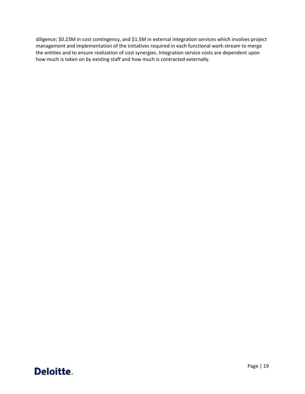diligence; \$0.23M in cost contingency, and \$1.5M in external integration services which involves project management and implementation of the initiatives required in each functional work‐stream to merge the entities and to ensure realization of cost synergies. Integration service costs are dependent upon how much is taken on by existing staff and how much is contracted externally.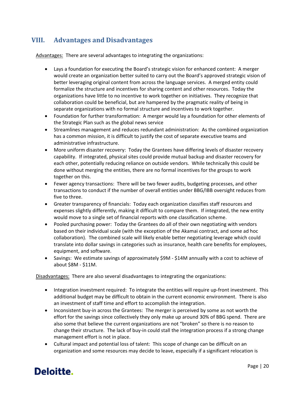## **VIII. Advantages and Disadvantages**

Advantages: There are several advantages to integrating the organizations:

- Lays a foundation for executing the Board's strategic vision for enhanced content: A merger would create an organization better suited to carry out the Board's approved strategic vision of better leveraging original content from across the language services. A merged entity could formalize the structure and incentives for sharing content and other resources. Today the organizations have little to no incentive to work together on initiatives. They recognize that collaboration could be beneficial, but are hampered by the pragmatic reality of being in separate organizations with no formal structure and incentives to work together.
- Foundation for further transformation: A merger would lay a foundation for other elements of the Strategic Plan such as the global news service
- Streamlines management and reduces redundant administration: As the combined organization has a common mission, it is difficult to justify the cost of separate executive teams and administrative infrastructure.
- More uniform disaster recovery: Today the Grantees have differing levels of disaster recovery capability. If integrated, physical sites could provide mutual backup and disaster recovery for each other, potentially reducing reliance on outside vendors. While technically this could be done without merging the entities, there are no formal incentives for the groups to work together on this.
- Fewer agency transactions: There will be two fewer audits, budgeting processes, and other transactions to conduct if the number of overall entities under BBG/IBB oversight reduces from five to three.
- Greater transparency of financials: Today each organization classifies staff resources and expenses slightly differently, making it difficult to compare them. If integrated, the new entity would move to a single set of financial reports with one classification scheme.
- Pooled purchasing power: Today the Grantees do all of their own negotiating with vendors based on their individual scale (with the exception of the Akamai contract, and some ad hoc collaboration). The combined scale will likely enable better negotiating leverage which could translate into dollar savings in categories such as insurance, health care benefits for employees, equipment, and software.
- Savings: We estimate savings of approximately \$9M \$14M annually with a cost to achieve of about \$8M ‐ \$11M.

Disadvantages: There are also several disadvantages to integrating the organizations:

- Integration investment required: To integrate the entities will require up-front investment. This additional budget may be difficult to obtain in the current economic environment. There is also an investment of staff time and effort to accomplish the integration.
- Inconsistent buy-in across the Grantees: The merger is perceived by some as not worth the effort for the savings since collectively they only make up around 30% of BBG spend. There are also some that believe the current organizations are not "broken" so there is no reason to change their structure. The lack of buy‐in could stall the integration process if a strong change management effort is not in place.
- Cultural impact and potential loss of talent: This scope of change can be difficult on an organization and some resources may decide to leave, especially if a significant relocation is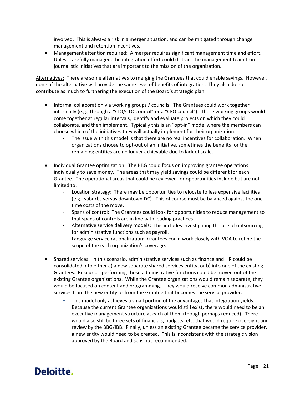involved. This is always a risk in a merger situation, and can be mitigated through change management and retention incentives.

 Management attention required: A merger requires significant management time and effort. Unless carefully managed, the integration effort could distract the management team from journalistic initiatives that are important to the mission of the organization.

Alternatives: There are some alternatives to merging the Grantees that could enable savings. However, none of the alternative will provide the same level of benefits of integration. They also do not contribute as much to furthering the execution of the Board's strategic plan.

- Informal collaboration via working groups / councils: The Grantees could work together informally (e.g., through a "CIO/CTO council" or a "CFO council"). These working groups would come together at regular intervals, identify and evaluate projects on which they could collaborate, and then implement. Typically this is an "opt-in" model where the members can choose which of the initiatives they will actually implement for their organization.
	- The issue with this model is that there are no real incentives for collaboration. When organizations choose to opt‐out of an initiative, sometimes the benefits for the remaining entities are no longer achievable due to lack of scale.
- Individual Grantee optimization: The BBG could focus on improving grantee operations individually to save money. The areas that may yield savings could be different for each Grantee. The operational areas that could be reviewed for opportunities include but are not limited to:
	- Location strategy: There may be opportunities to relocate to less expensive facilities (e.g., suburbs versus downtown DC). This of course must be balanced against the one‐ time costs of the move.
	- Spans of control: The Grantees could look for opportunities to reduce management so that spans of controls are in line with leading practices
	- Alternative service delivery models: This includes investigating the use of outsourcing for administrative functions such as payroll.
	- Language service rationalization: Grantees could work closely with VOA to refine the scope of the each organization's coverage.
- Shared services: In this scenario, administrative services such as finance and HR could be consolidated into either a) a new separate shared services entity, or b) into one of the existing Grantees. Resources performing those administrative functions could be moved out of the existing Grantee organizations. While the Grantee organizations would remain separate, they would be focused on content and programming. They would receive common administrative services from the new entity or from the Grantee that becomes the service provider.
	- This model only achieves a small portion of the advantages that integration yields. Because the current Grantee organizations would still exist, there would need to be an executive management structure at each of them (though perhaps reduced). There would also still be three sets of financials, budgets, etc. that would require oversight and review by the BBG/IBB. Finally, unless an existing Grantee became the service provider, a new entity would need to be created. This is inconsistent with the strategic vision approved by the Board and so is not recommended.

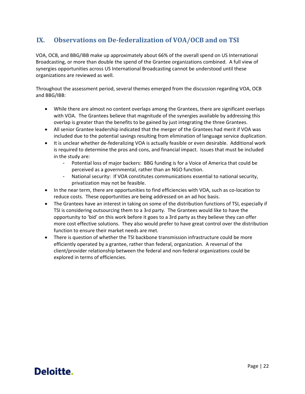## **IX. Observations on De‐federalization of VOA/OCB and on TSI**

VOA, OCB, and BBG/IBB make up approximately about 66% of the overall spend on US International Broadcasting, or more than double the spend of the Grantee organizations combined. A full view of synergies opportunities across US International Broadcasting cannot be understood until these organizations are reviewed as well.

Throughout the assessment period, several themes emerged from the discussion regarding VOA, OCB and BBG/IBB:

- While there are almost no content overlaps among the Grantees, there are significant overlaps with VOA. The Grantees believe that magnitude of the synergies available by addressing this overlap is greater than the benefits to be gained by just integrating the three Grantees.
- All senior Grantee leadership indicated that the merger of the Grantees had merit if VOA was included due to the potential savings resulting from elimination of language service duplication.
- It is unclear whether de‐federalizing VOA is actually feasible or even desirable. Additional work is required to determine the pros and cons, and financial impact. Issues that must be included in the study are:
	- Potential loss of major backers: BBG funding is for a Voice of America that could be perceived as a governmental, rather than an NGO function.
	- National security: If VOA constitutes communications essential to national security, privatization may not be feasible.
- In the near term, there are opportunities to find efficiencies with VOA, such as co-location to reduce costs. These opportunities are being addressed on an ad hoc basis.
- The Grantees have an interest in taking on some of the distribution functions of TSI, especially if TSI is considering outsourcing them to a 3rd party. The Grantees would like to have the opportunity to 'bid' on this work before it goes to a 3rd party as they believe they can offer more cost effective solutions. They also would prefer to have great control over the distribution function to ensure their market needs are met.
- There is question of whether the TSI backbone transmission infrastructure could be more efficiently operated by a grantee, rather than federal, organization. A reversal of the client/provider relationship between the federal and non‐federal organizations could be explored in terms of efficiencies.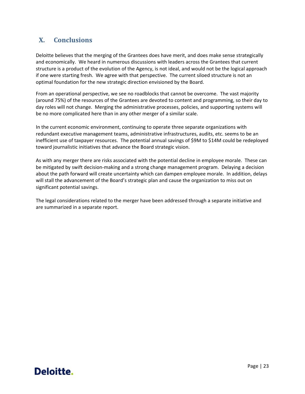## **X. Conclusions**

Deloitte believes that the merging of the Grantees does have merit, and does make sense strategically and economically. We heard in numerous discussions with leaders across the Grantees that current structure is a product of the evolution of the Agency, is not ideal, and would not be the logical approach if one were starting fresh. We agree with that perspective. The current siloed structure is not an optimal foundation for the new strategic direction envisioned by the Board.

From an operational perspective, we see no roadblocks that cannot be overcome. The vast majority (around 75%) of the resources of the Grantees are devoted to content and programming, so their day to day roles will not change. Merging the administrative processes, policies, and supporting systems will be no more complicated here than in any other merger of a similar scale.

In the current economic environment, continuing to operate three separate organizations with redundant executive management teams, administrative infrastructures, audits, etc. seems to be an inefficient use of taxpayer resources. The potential annual savings of \$9M to \$14M could be redeployed toward journalistic initiatives that advance the Board strategic vision.

As with any merger there are risks associated with the potential decline in employee morale. These can be mitigated by swift decision‐making and a strong change management program. Delaying a decision about the path forward will create uncertainty which can dampen employee morale. In addition, delays will stall the advancement of the Board's strategic plan and cause the organization to miss out on significant potential savings.

The legal considerations related to the merger have been addressed through a separate initiative and are summarized in a separate report.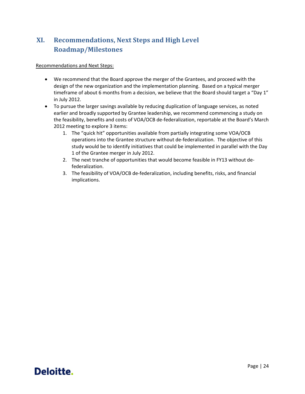## **XI. Recommendations, Next Steps and High Level Roadmap/Milestones**

#### Recommendations and Next Steps:

- We recommend that the Board approve the merger of the Grantees, and proceed with the design of the new organization and the implementation planning. Based on a typical merger timeframe of about 6 months from a decision, we believe that the Board should target a "Day 1" in July 2012.
- To pursue the larger savings available by reducing duplication of language services, as noted earlier and broadly supported by Grantee leadership, we recommend commencing a study on the feasibility, benefits and costs of VOA/OCB de‐federalization, reportable at the Board's March 2012 meeting to explore 3 items:
	- 1. The "quick hit" opportunities available from partially integrating some VOA/OCB operations into the Grantee structure without de‐federalization. The objective of this study would be to identify initiatives that could be implemented in parallel with the Day 1 of the Grantee merger in July 2012.
	- 2. The next tranche of opportunities that would become feasible in FY13 without de‐ federalization.
	- 3. The feasibility of VOA/OCB de‐federalization, including benefits, risks, and financial implications.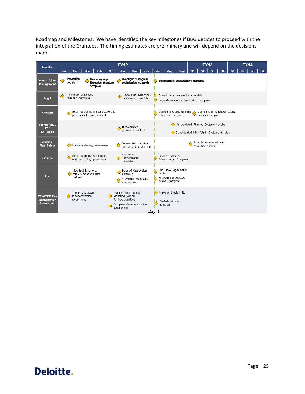Roadmap and Milestones: We have identified the key milestones if BBG decides to proceed with the integration of the Grantees. The timing estimates are preliminary and will depend on the decisions made.

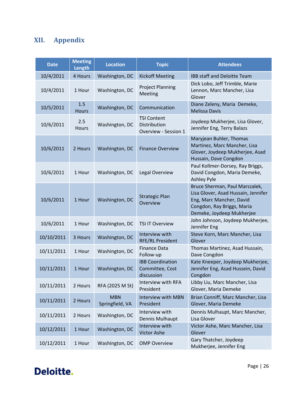## **XII. Appendix**

| <b>Date</b> | <b>Meeting</b><br><b>Length</b> | <b>Location</b>               | <b>Topic</b>                                               | <b>Attendees</b>                                                                                                                                             |
|-------------|---------------------------------|-------------------------------|------------------------------------------------------------|--------------------------------------------------------------------------------------------------------------------------------------------------------------|
| 10/4/2011   | 4 Hours                         | Washington, DC                | <b>Kickoff Meeting</b>                                     | <b>IBB staff and Deloitte Team</b>                                                                                                                           |
| 10/4/2011   | 1 Hour                          | Washington, DC                | <b>Project Planning</b><br>Meeting                         | Dick Lobo, Jeff Trimble, Marie<br>Lennon, Marc Mancher, Lisa<br>Glover                                                                                       |
| 10/5/2011   | 1.5<br><b>Hours</b>             | Washington, DC                | Communication                                              | Diane Zeleny, Maria Demeke,<br><b>Melissa Davis</b>                                                                                                          |
| 10/6/2011   | 2.5<br><b>Hours</b>             | Washington, DC                | <b>TSI Content</b><br>Distribution<br>Overview - Session 1 | Joydeep Mukherjee, Lisa Glover,<br>Jennifer Eng, Terry Balazs                                                                                                |
| 10/6/2011   | 2 Hours                         | Washington, DC                | <b>Finance Overview</b>                                    | Maryjean Buhler, Thomas<br>Martinez, Marc Mancher, Lisa<br>Glover, Joydeep Mukherjee, Asad<br>Hussain, Dave Congdon                                          |
| 10/6/2011   | 1 Hour                          | Washington, DC                | Legal Overview                                             | Paul Kollmer-Dorsey, Ray Briggs,<br>David Congdon, Maria Demeke,<br><b>Ashley Pyle</b>                                                                       |
| 10/6/2011   | 1 Hour                          | Washington, DC                | <b>Strategic Plan</b><br>Overview                          | Bruce Sherman, Paul Marszalek,<br>Lisa Glover, Asad Hussain, Jennifer<br>Eng, Marc Mancher, David<br>Congdon, Ray Briggs, Maria<br>Demeke, Joydeep Mukherjee |
| 10/6/2011   | 1 Hour                          | Washington, DC                | <b>TSI IT Overview</b>                                     | John Johnson, Joydeep Mukherjee,<br>Jennifer Eng                                                                                                             |
| 10/10/2011  | 3 Hours                         | Washington, DC                | Interview with<br><b>RFE/RL President</b>                  | Steve Korn, Marc Mancher, Lisa<br>Glover                                                                                                                     |
| 10/11/2011  | 1 Hour                          | Washington, DC                | <b>Finance Data</b><br>Follow-up                           | Thomas Martinez, Asad Hussain,<br>Dave Congdon                                                                                                               |
| 10/11/2011  | 1 Hour                          | Washington, DC                | <b>IBB Coordination</b><br>Committee, Cost<br>discussion   | Kate Kneeper, Joydeep Mukherjee,<br>Jennifer Eng, Asad Hussein, David<br>Congdon                                                                             |
| 10/11/2011  | 2 Hours                         | RFA (2025 M St)               | Interview with RFA<br>President                            | Libby Liu, Marc Mancher, Lisa<br>Glover, Maria Demeke                                                                                                        |
| 10/11/2011  | 2 Hours                         | <b>MBN</b><br>Springfield, VA | Interview with MBN<br>President                            | Brian Conniff, Marc Mancher, Lisa<br>Glover, Maria Demeke                                                                                                    |
| 10/11/2011  | 2 Hours                         | Washington, DC                | Interview with<br>Dennis Mulhaupt                          | Dennis Mulhaupt, Marc Mancher,<br>Lisa Glover                                                                                                                |
| 10/12/2011  | 1 Hour                          | Washington, DC                | Interview with<br><b>Victor Ashe</b>                       | Victor Ashe, Marc Mancher, Lisa<br>Glover                                                                                                                    |
| 10/12/2011  | 1 Hour                          | Washington, DC                | <b>OMP Overview</b>                                        | Gary Thatcher, Joydeep<br>Mukherjee, Jennifer Eng                                                                                                            |

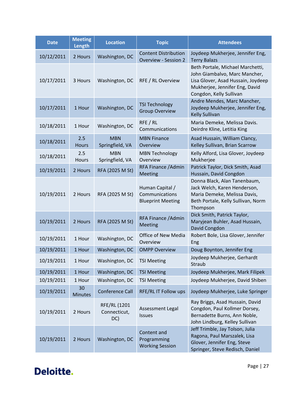| <b>Date</b> | <b>Meeting</b><br>Length | <b>Location</b>                            | <b>Topic</b>                                                  | <b>Attendees</b>                                                                                                                                                     |
|-------------|--------------------------|--------------------------------------------|---------------------------------------------------------------|----------------------------------------------------------------------------------------------------------------------------------------------------------------------|
| 10/12/2011  | 2 Hours                  | Washington, DC                             | <b>Content Distribution</b><br><b>Overview - Session 2</b>    | Joydeep Mukherjee, Jennifer Eng,<br><b>Terry Balazs</b>                                                                                                              |
| 10/17/2011  | 3 Hours                  | Washington, DC                             | RFE / RL Overview                                             | Beth Portale, Michael Marchetti,<br>John Giambalvo, Marc Mancher,<br>Lisa Glover, Asad Hussain, Joydeep<br>Mukherjee, Jennifer Eng, David<br>Congdon, Kelly Sullivan |
| 10/17/2011  | 1 Hour                   | Washington, DC                             | <b>TSI Technology</b><br><b>Group Overview</b>                | Andre Mendes, Marc Mancher,<br>Joydeep Mukherjee, Jennifer Eng,<br><b>Kelly Sullivan</b>                                                                             |
| 10/18/2011  | 1 Hour                   | Washington, DC                             | RFE / RL<br>Communications                                    | Maria Demeke, Melissa Davis.<br>Deirdre Kline, Letitia King                                                                                                          |
| 10/18/2011  | 2.5<br><b>Hours</b>      | <b>MBN</b><br>Springfield, VA              | <b>MBN Finance</b><br>Overview                                | Asad Hussain, William Clancy,<br>Kelley Sullivan, Brian Scarrow                                                                                                      |
| 10/18/2011  | 2.5<br><b>Hours</b>      | <b>MBN</b><br>Springfield, VA              | <b>MBN Technology</b><br>Overview                             | Kelly Alford, Lisa Glover, Joydeep<br>Mukherjee                                                                                                                      |
| 10/19/2011  | 2 Hours                  | RFA (2025 M St)                            | RFA Finance / Admin<br>Meeting                                | Patrick Taylor, Dick Smith, Asad<br>Hussain, David Congdon                                                                                                           |
| 10/19/2011  | 2 Hours                  | RFA (2025 M St)                            | Human Capital /<br>Communications<br><b>Blueprint Meeting</b> | Donna Black, Alan Tanenbaum,<br>Jack Welch, Karen Henderson,<br>Maria Demeke, Melissa Davis,<br>Beth Portale, Kelly Sullivan, Norm<br>Thompson                       |
| 10/19/2011  | 2 Hours                  | RFA (2025 M St)                            | RFA Finance / Admin<br>Meeting                                | Dick Smith, Patrick Taylor,<br>Maryjean Buhler, Asad Hussain,<br>David Congdon                                                                                       |
| 10/19/2011  | 1 Hour                   | Washington, DC                             | Office of New Media<br>Overview                               | Robert Bole, Lisa Glover, Jennifer<br>Eng                                                                                                                            |
| 10/19/2011  | 1 Hour                   | Washington, DC                             | <b>OMPP Overview</b>                                          | Doug Boynton, Jennifer Eng                                                                                                                                           |
| 10/19/2011  | 1 Hour                   | Washington, DC                             | <b>TSI Meeting</b>                                            | Joydeep Mukherjee, Gerhardt<br>Straub                                                                                                                                |
| 10/19/2011  | 1 Hour                   | Washington, DC                             | <b>TSI Meeting</b>                                            | Joydeep Mukherjee, Mark Filipek                                                                                                                                      |
| 10/19/2011  | 1 Hour                   | Washington, DC                             | <b>TSI Meeting</b>                                            | Joydeep Mukherjee, David Shiben                                                                                                                                      |
| 10/19/2011  | 30<br><b>Minutes</b>     | <b>Conference Call</b>                     | RFE/RL IT Follow ups                                          | Joydeep Mukherjee, Luke Springer                                                                                                                                     |
| 10/19/2011  | 2 Hours                  | <b>RFE/RL (1201</b><br>Connecticut,<br>DC) | Assessment Legal<br><b>Issues</b>                             | Ray Briggs, Asad Hussain, David<br>Congdon, Paul Kollmer Dorsey,<br>Bernadette Burns, Ann Noble,<br>John Lindburg, Kelley Sullivan                                   |
| 10/19/2011  | 2 Hours                  | Washington, DC                             | Content and<br>Programming<br><b>Working Session</b>          | Jeff Trimble, Jay Tolson, Julia<br>Ragona, Paul Marszalek, Lisa<br>Glover, Jennifer Eng, Steve<br>Springer, Steve Redisch, Daniel                                    |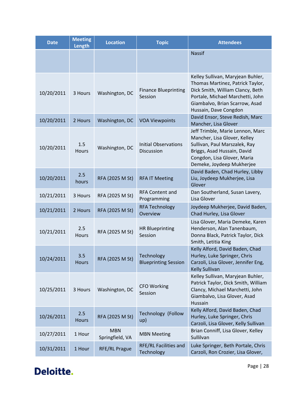| <b>Date</b> | <b>Meeting</b><br>Length | <b>Location</b>               | <b>Topic</b>                              | <b>Attendees</b>                                                                                                                                                                                         |
|-------------|--------------------------|-------------------------------|-------------------------------------------|----------------------------------------------------------------------------------------------------------------------------------------------------------------------------------------------------------|
|             |                          |                               |                                           | <b>Nassif</b>                                                                                                                                                                                            |
| 10/20/2011  | 3 Hours                  | Washington, DC                | <b>Finance Blueprinting</b><br>Session    | Kelley Sullivan, Maryjean Buhler,<br>Thomas Martinez, Patrick Taylor,<br>Dick Smith, William Clancy, Beth<br>Portale, Michael Marchetti, John<br>Giambalvo, Brian Scarrow, Asad<br>Hussain, Dave Congdon |
| 10/20/2011  | 2 Hours                  | Washington, DC                | <b>VOA Viewpoints</b>                     | David Ensor, Steve Redish, Marc<br>Mancher, Lisa Glover                                                                                                                                                  |
| 10/20/2011  | 1.5<br><b>Hours</b>      | Washington, DC                | <b>Initial Observations</b><br>Discussion | Jeff Trimble, Marie Lennon, Marc<br>Mancher, Lisa Glover, Kelley<br>Sullivan, Paul Marszalek, Ray<br>Briggs, Asad Hussain, David<br>Congdon, Lisa Glover, Maria<br>Demeke, Joydeep Mukherjee             |
| 10/20/2011  | 2.5<br>hours             | RFA (2025 M St)               | <b>RFA IT Meeting</b>                     | David Baden, Chad Hurley, Libby<br>Liu, Joydeep Mukherjee, Lisa<br>Glover                                                                                                                                |
| 10/21/2011  | 3 Hours                  | RFA (2025 M St)               | <b>RFA Content and</b><br>Programming     | Dan Southerland, Susan Lavery,<br>Lisa Glover                                                                                                                                                            |
| 10/21/2011  | 2 Hours                  | RFA (2025 M St)               | <b>RFA Technology</b><br>Overview         | Joydeep Mukherjee, David Baden,<br>Chad Hurley, Lisa Glover                                                                                                                                              |
| 10/21/2011  | 2.5<br><b>Hours</b>      | RFA (2025 M St)               | <b>HR Blueprinting</b><br>Session         | Lisa Glover, Maria Demeke, Karen<br>Henderson, Alan Tanenbaum,<br>Donna Black, Patrick Taylor, Dick<br>Smith, Letitia King                                                                               |
| 10/24/2011  | 3.5<br><b>Hours</b>      | RFA (2025 M St)               | Technology<br><b>Blueprinting Session</b> | Kelly Alford, David Baden, Chad<br>Hurley, Luke Springer, Chris<br>Carzoli, Lisa Glover, Jennifer Eng,<br><b>Kelly Sullivan</b>                                                                          |
| 10/25/2011  | 3 Hours                  | Washington, DC                | <b>CFO Working</b><br>Session             | Kelley Sullivan, Maryjean Buhler,<br>Patrick Taylor, Dick Smith, William<br>Clancy, Michael Marchetti, John<br>Giambalvo, Lisa Glover, Asad<br>Hussain                                                   |
| 10/26/2011  | 2.5<br><b>Hours</b>      | RFA (2025 M St)               | Technology (Follow<br>up)                 | Kelly Alford, David Baden, Chad<br>Hurley, Luke Springer, Chris<br>Carzoli, Lisa Glover, Kelly Sullivan                                                                                                  |
| 10/27/2011  | 1 Hour                   | <b>MBN</b><br>Springfield, VA | <b>MBN Meeting</b>                        | Brian Conniff, Lisa Glover, Kelley<br>Sullilvan                                                                                                                                                          |
| 10/31/2011  | 1 Hour                   | <b>RFE/RL Prague</b>          | RFE/RL Facilities and<br>Technology       | Luke Springer, Beth Portale, Chris<br>Carzoli, Ron Crozier, Lisa Glover,                                                                                                                                 |